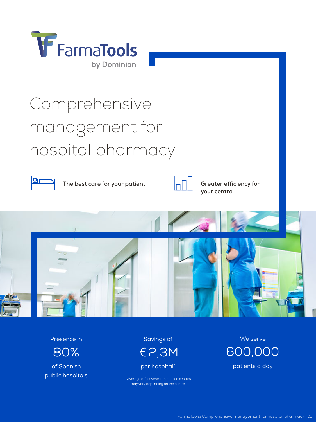

# Comprehensive management for hospital pharmacy



The best care for your patient  $\left|\frac{\partial f}{\partial u}\right| \leq 0$  Greater efficiency for



**your centre**



Presence in

80%

of Spanish public hospitals

Savings of €2,3M

per hospital\*

\* Average effectiveness in studied centres may vary depending on the centre

We serve 600,000 patients a day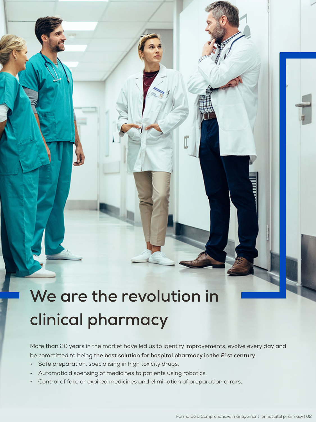## **We are the revolution in clinical pharmacy**

More than 20 years in the market have led us to identify improvements, evolve every day and be committed to being **the best solution for hospital pharmacy in the 21st century**.

- Safe preparation, specialising in high toxicity drugs.
- Automatic dispensing of medicines to patients using robotics.
- Control of fake or expired medicines and elimination of preparation errors.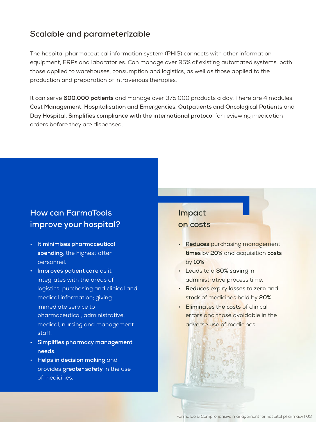#### **Scalable and parameterizable**

The hospital pharmaceutical information system (PHIS) connects with other information equipment, ERPs and laboratories. Can manage over 95% of existing automated systems, both those applied to warehouses, consumption and logistics, as well as those applied to the production and preparation of intravenous therapies.

It can serve **600,000 patients** and manage over 375,000 products a day. There are 4 modules: **Cost Management**, **Hospitalisation and Emergencies**, **Outpatients and Oncological Patients** and **Day Hospital**. **Simplifies compliance with the international protoco**l for reviewing medication orders before they are dispensed.

### **How can FarmaTools improve your hospital?**

- **It minimises pharmaceutical spending**, the highest after personnel.
- **• Improves patient care** as it integrates with the areas of logistics, purchasing and clinical and medical information; giving immediate service to pharmaceutical, administrative, medical, nursing and management staff.
- **Simplifies pharmacy management needs**.
- **Helps in decision making** and provides **greater safety** in the use of medicines.

### **Impact**

#### **on costs**

- **Reduces** purchasing management **times** by **20%** and acquisition **costs** by **10%**.
- Leads to a **30% saving** in administrative process time.
- **Reduces** expiry **losses to zero** and **stock** of medicines held by **20%**.
- **Eliminates the costs** of clinical errors and those avoidable in the adverse use of medicines.